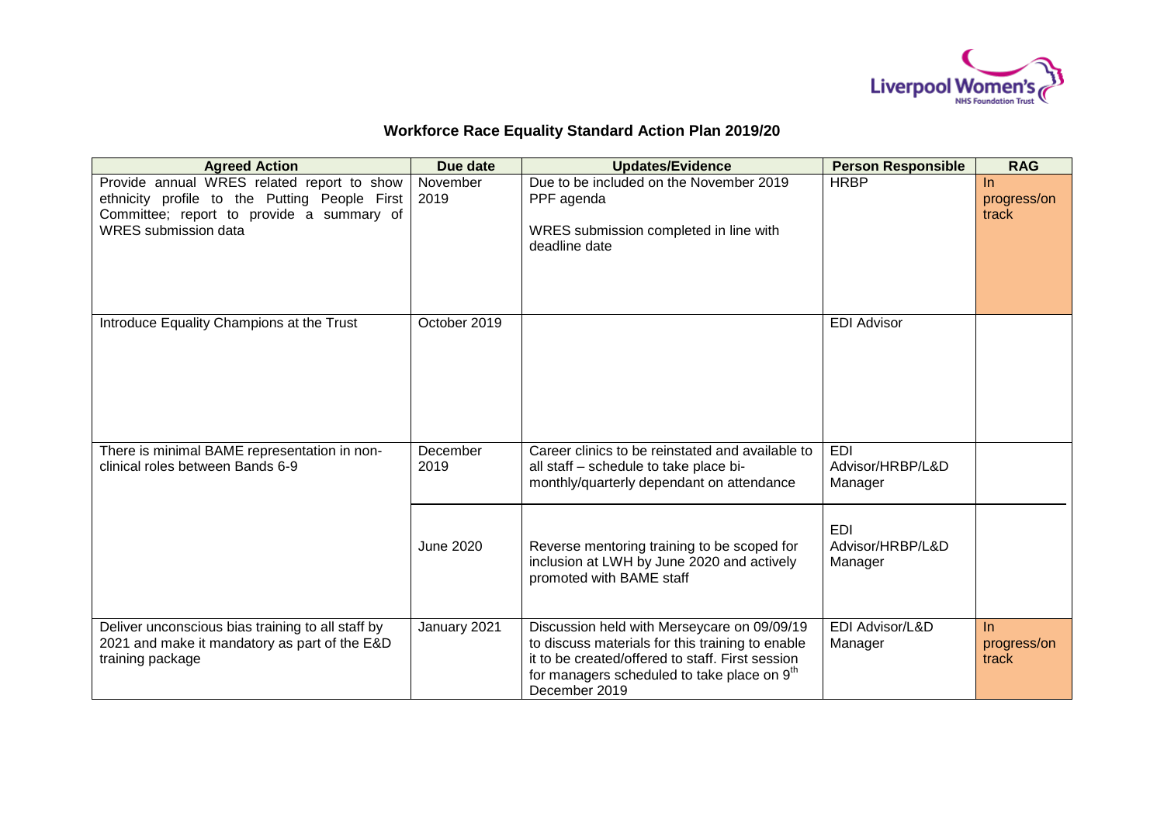

## **Workforce Race Equality Standard Action Plan 2019/20**

| <b>Agreed Action</b>                                                                                                                                                    | Due date         | <b>Updates/Evidence</b>                                                                                                                                                                                                         | <b>Person Responsible</b>                 | <b>RAG</b>                    |
|-------------------------------------------------------------------------------------------------------------------------------------------------------------------------|------------------|---------------------------------------------------------------------------------------------------------------------------------------------------------------------------------------------------------------------------------|-------------------------------------------|-------------------------------|
| Provide annual WRES related report to show<br>ethnicity profile to the Putting People First<br>Committee; report to provide a summary of<br><b>WRES</b> submission data | November<br>2019 | Due to be included on the November 2019<br>PPF agenda<br>WRES submission completed in line with<br>deadline date                                                                                                                | <b>HRBP</b>                               | ln<br>progress/on<br>track    |
| Introduce Equality Champions at the Trust                                                                                                                               | October 2019     |                                                                                                                                                                                                                                 | <b>EDI Advisor</b>                        |                               |
| There is minimal BAME representation in non-<br>clinical roles between Bands 6-9                                                                                        | December<br>2019 | Career clinics to be reinstated and available to<br>all staff - schedule to take place bi-<br>monthly/quarterly dependant on attendance                                                                                         | <b>EDI</b><br>Advisor/HRBP/L&D<br>Manager |                               |
|                                                                                                                                                                         | June 2020        | Reverse mentoring training to be scoped for<br>inclusion at LWH by June 2020 and actively<br>promoted with BAME staff                                                                                                           | <b>EDI</b><br>Advisor/HRBP/L&D<br>Manager |                               |
| Deliver unconscious bias training to all staff by<br>2021 and make it mandatory as part of the E&D<br>training package                                                  | January 2021     | Discussion held with Merseycare on 09/09/19<br>to discuss materials for this training to enable<br>it to be created/offered to staff. First session<br>for managers scheduled to take place on 9 <sup>th</sup><br>December 2019 | EDI Advisor/L&D<br>Manager                | $\ln$<br>progress/on<br>track |